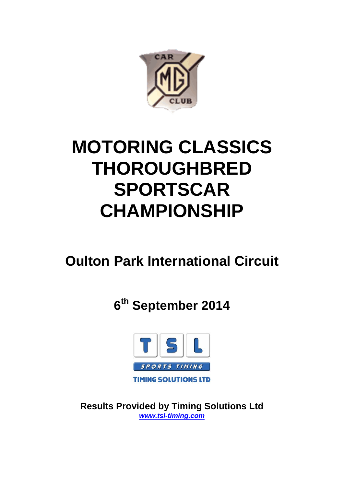

# **MOTORING CLASSICS THOROUGHBRED SPORTSCAR CHAMPIONSHIP**

## **Oulton Park International Circuit**

**6th September 2014**



**Results Provided by Timing Solutions Ltd** *www.tsl-timing.com*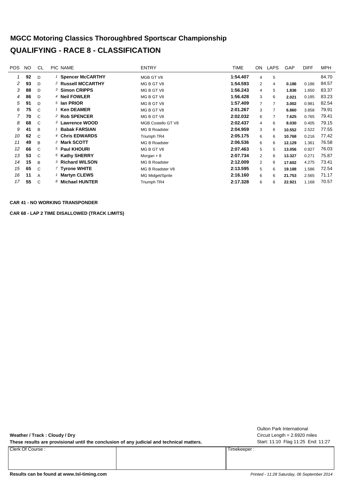#### **MGCC Motoring Classics Thoroughbred Sportscar Championship QUALIFYING - RACE 8 - CLASSIFICATION**

| POS. | NO. | CL           | PIC NAME                      | <b>ENTRY</b>         | TIME     | ON.            | LAPS | <b>GAP</b> | <b>DIFF</b> | <b>MPH</b> |
|------|-----|--------------|-------------------------------|----------------------|----------|----------------|------|------------|-------------|------------|
| 1    | 92  | D            | <sup>1</sup> Spencer McCARTHY | MGB GT V8            | 1:54.407 | 4              | 5    |            |             | 84.70      |
| 2    | 93  | D            | <sup>2</sup> Russell MCCARTHY | MG B GT V8           | 1:54.593 | $\overline{2}$ | 4    | 0.186      | 0.186       | 84.57      |
| 3    | 88  | D            | 3 Simon CRIPPS                | MG B GT V8           | 1:56.243 | 4              | 5    | 1.836      | 1.650       | 83.37      |
| 4    | 86  | D            | <sup>4</sup> Neil FOWLER      | MG B GT V8           | 1:56.428 | 3              | 6    | 2.021      | 0.185       | 83.23      |
| 5    | 91  | D            | <sup>5</sup> Ian PRIOR        | MG B GT V8           | 1:57.409 | $\overline{7}$ |      | 3.002      | 0.981       | 82.54      |
| 6    | 75  | C            | $1$ Ken DEAMER                | MG B GT V8           | 2:01.267 | 3              |      | 6.860      | 3.858       | 79.91      |
|      | 70  | C.           | 2 Rob SPENCER                 | MG B GT V8           | 2:02.032 | 6              |      | 7.625      | 0.765       | 79.41      |
| 8    | 68  | C            | 3 Lawrence WOOD               | MGB Costello GT V8   | 2:02.437 | 4              | 6    | 8.030      | 0.405       | 79.15      |
| 9    | 41  | B            | <b>Babak FARSIAN</b>          | MG B Roadster        | 2:04.959 | 3              | 6    | 10.552     | 2.522       | 77.55      |
| 10   | 62  | $\mathsf{C}$ | 4 Chris EDWARDS               | Triumph TR4          | 2:05.175 | 6              | 6    | 10.768     | 0.216       | 77.42      |
| 11   | 49  | B            | 2 Mark SCOTT                  | MG B Roadster        | 2:06.536 | 6              | 6    | 12.129     | 1.361       | 76.58      |
| 12   | 66  | $\mathsf{C}$ | 5 Paul KHOURI                 | MG B GT V8           | 2:07.463 | 5              | 5    | 13.056     | 0.927       | 76.03      |
| 13   | 53  | C            | 6 Kathy SHERRY                | Morgan $+8$          | 2:07.734 | 2              | 6    | 13.327     | 0.271       | 75.87      |
| 14   | 15  | B            | 3 Richard WILSON              | <b>MG B Roadster</b> | 2:12.009 | 2              | 6    | 17.602     | 4.275       | 73.41      |
| 15   | 65  | C            | 7 Tyrone WHITE                | MG B Roadster V8     | 2:13.595 | 5              | 6    | 19.188     | 1.586       | 72.54      |
| 16   | 11  | Α            | <b>Martyn CLEWS</b>           | MG Midget/Sprite     | 2:16.160 | 6              | 6    | 21.753     | 2.565       | 71.17      |
| 17   | 55  | $\mathsf{C}$ | 8 Michael HUNTER              | Triumph TR4          | 2:17.328 | 6              | 6    | 22.921     | 1.168       | 70.57      |
|      |     |              |                               |                      |          |                |      |            |             |            |

#### **CAR 41 - NO WORKING TRANSPONDER**

**CAR 68 - LAP 2 TIME DISALLOWED (TRACK LIMITS)**

**Weather / Track : Cloudy / Dry**

These results are provisional until the conclusion of any judicial and technical matters. Start: 11:10 Flag 11:25 End: 11:27

Clerk Of Course : Timekeeper :

Circuit Length = 2.6920 miles Oulton Park International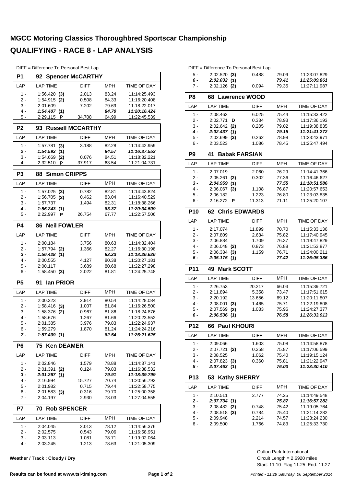#### **MGCC Motoring Classics Thoroughbred Sportscar Championship QUALIFYING - RACE 8 - LAP ANALYSIS**

| DIFF = Difference To Personal Best Lap |  |  |  |  |
|----------------------------------------|--|--|--|--|
|----------------------------------------|--|--|--|--|

| P <sub>1</sub><br>92 Spencer McCARTHY                                        |                              |
|------------------------------------------------------------------------------|------------------------------|
| <b>MPH</b><br>LAP<br><b>LAP TIME</b><br><b>DIFF</b>                          | TIME OF DAY                  |
| $1 -$<br>83.24<br>1:56.420(3)<br>2.013                                       | 11:14:25.493                 |
| 2 -<br>$1:54.915$ (2)<br>0.508<br>84.33                                      | 11:16:20.408                 |
| 3 -<br>2:01.609<br>7.202<br>79.69<br>4 -<br>84.70<br>1:54.407(1)             | 11:18:22.017<br>11:20:16.424 |
| 5 -<br>2:29.115 <b>P</b><br>64.99<br>34.708                                  | 11:22:45.539                 |
|                                                                              |                              |
| P <sub>2</sub><br><b>Russell MCCARTHY</b><br>93                              |                              |
| LAP<br><b>MPH</b><br><b>LAP TIME</b><br><b>DIFF</b>                          | <b>TIME OF DAY</b>           |
| $1 -$<br>$1:57.781$ (3)<br>3.188<br>82.28                                    | 11:14:42.959                 |
| 1:54.593(1)<br>84.57<br>2 -<br>1:54.669<br>3 -<br>0.076<br>84.51<br>(2)      | 11:16:37.552<br>11:18:32.221 |
| 4 -<br>2:32.510<br>37.917<br>63.54<br>P                                      | 11:21:04.731                 |
| P <sub>3</sub><br><b>Simon CRIPPS</b><br>88                                  |                              |
| <b>LAP TIME</b><br>LAP<br><b>DIFF</b><br><b>MPH</b>                          | TIME OF DAY                  |
| $1 -$<br>$1:57.025$ (3)<br>0.782<br>82.81                                    | 11:14:43.824                 |
| 2 -<br>1:56.705 (2)<br>0.462<br>83.04                                        | 11:16:40.529                 |
| 1:57.737<br>1.494<br>3 -<br>82.31                                            | 11:18:38.266                 |
| 4 -<br>1:56.243(1)<br>83.37                                                  | 11:20:34.509                 |
| 5 -<br>2:22.997 P<br>26.754<br>67.77                                         | 11:22:57.506                 |
| <b>P4</b><br><b>Neil FOWLER</b><br>86                                        |                              |
| <b>MPH</b><br>LAP<br><b>LAP TIME</b><br>DIFF                                 | TIME OF DAY                  |
| $1 -$<br>2:00.184<br>3.756<br>80.63                                          | 11:14:32.404                 |
| 1.366<br>2 -<br>$1:57.794$ (2)<br>82.27                                      | 11:16:30.198                 |
|                                                                              |                              |
| 3 -<br>1:56.428(1)<br>83.23                                                  | 11:18:26.626                 |
| 4 -<br>2:00.555<br>4.127<br>80.38                                            | 11:20:27.181                 |
| 5 -<br>2:00.117<br>3.689<br>80.68<br>$1:58.450$ (3)<br>6 -<br>2.022<br>81.81 | 11:22:27.298<br>11:24:25.748 |
| P <sub>5</sub><br>91<br>lan PRIOR                                            |                              |
| LAP<br><b>LAP TIME</b><br>DIFF<br>MPH                                        | TIME OF DAY                  |
| $1 -$<br>2:00.323<br>2.914<br>80.54                                          | 11:14:28.084                 |
| $1:58.416$ (3)<br>2 -<br>1.007<br>81.84                                      | 11:16:26.500                 |
| 3 -<br>1:58.376<br>0.967<br>81.86<br>(2)                                     | 11:18:24.876                 |
| 1.267<br>4 -<br>1:58.676<br>81.66                                            | 11:20:23.552                 |
| 5 -<br>2:01.385<br>3.976<br>79.83<br>1:59.279<br>1.870<br>81.24<br>հ -       | 11:22:24.937<br>11:24:24.216 |
| 1:57.409(1)<br>82.54<br>7 -                                                  | 11:26:21.625                 |
| P6<br><b>Ken DEAMER</b><br>75                                                |                              |
| LAP<br><b>LAP TIME</b><br>DIFF<br><b>MPH</b>                                 | TIME OF DAY                  |
| $1 -$<br>2:02.846<br>1.579<br>78.88                                          | 11:14:37.141                 |
| 2 -<br>2:01.391<br>(2)<br>0.124<br>79.83                                     | 11:16:38.532                 |
| 3 -<br>2:01.267<br>79.91<br>(1)                                              | 11:18:39.799                 |
| 4 -<br>2:16.994<br>15.727<br>70.74<br>5 -<br>2:01.982<br>0.715<br>79.44      | 11:20:56.793<br>11:22:58.775 |
| 6 -<br>$2:01.583$ (3)<br>0.316<br>79.70                                      | 11:25:00.358                 |
| 7 -<br>2:04.197<br>2.930<br>78.03                                            | 11:27:04.555                 |
| P7<br><b>Rob SPENCER</b><br>70                                               |                              |
| <b>MPH</b><br><b>LAP TIME</b><br>LAP<br>DIFF                                 | TIME OF DAY                  |
| 1 -<br>2:04.045<br>78.12<br>2.013                                            | 11:14:56.376                 |
| 2 -<br>2:02.575<br>0.543<br>79.06<br>3 -<br>2:03.113<br>1.081<br>78.71       | 11:16:58.951<br>11:19:02.064 |

**Weather / Track : Cloudy / Dry**

|       | DIFF = Difference To Personal Best Lap |         |       |              |
|-------|----------------------------------------|---------|-------|--------------|
| - 5 - | $2:02.520$ (3)                         | 0.488   | 79.09 | 11:23:07.829 |
| 6 -   | 2:02.032 (1)                           |         | 79.41 | 11:25:09.861 |
|       |                                        | - - - - |       |              |

| 7 -             | $2:02.126$ (2)                   | 0.094           | 79.35          | 11:27:11.987                 |
|-----------------|----------------------------------|-----------------|----------------|------------------------------|
| P <sub>8</sub>  | 68 Lawrence WOOD                 |                 |                |                              |
| LAP             | <b>LAP TIME</b>                  | <b>DIFF</b>     | <b>MPH</b>     | TIME OF DAY                  |
| 1 -             | 2:08.462                         | 6.025           | 75.44          | 11:15:33.422                 |
| $2-$            | 2:02.771<br>D                    | 0.334           | 78.93          | 11:17:36.193                 |
| 3 -             | $2:02.642$ (2)                   | 0.205           | 79.02          | 11:19:38.835                 |
| $4 -$           | 2:02.437 (1)                     |                 | 79.15          | 11:21:41.272                 |
| 5 -             | $2:02.699$ (3)                   | 0.262           | 78.98          | 11:23:43.971                 |
| $6 -$           | 2:03.523                         | 1.086           | 78.45          | 11:25:47.494                 |
| P <sub>9</sub>  | <b>Babak FARSIAN</b><br>41       |                 |                |                              |
| LAP             | <b>LAP TIME</b>                  | <b>DIFF</b>     | <b>MPH</b>     | TIME OF DAY                  |
| 1 -             | 2:07.019                         | 2.060           | 76.29          | 11:14:41.366                 |
| $2 -$           | 2:05.261<br>(2)                  | 0.302           | 77.36          | 11:16:46.627                 |
| 3 -             | 2:04.959(1)                      |                 | 77.55          | 11:18:51.586                 |
| $4 -$<br>5 -    | $2:06.067$ (3)                   | 1.108           | 76.87          | 11:20:57.653                 |
| 6 -             | 2:06.182<br>2:16.272<br>P        | 1.223<br>11.313 | 76.80<br>71.11 | 11:23:03.835<br>11:25:20.107 |
|                 |                                  |                 |                |                              |
| <b>P10</b>      | 62<br><b>Chris EDWARDS</b>       |                 |                |                              |
| LAP             | <b>LAP TIME</b>                  | <b>DIFF</b>     | <b>MPH</b>     | <b>TIME OF DAY</b>           |
| $1 -$           | 2:17.074                         | 11.899          | 70.70          | 11:15:33.136                 |
| $2 -$           | 2:07.809                         | 2.634           | 75.82          | 11:17:40.945                 |
| $3 -$           | 2:06.884                         | 1.709           | 76.37          | 11:19:47.829                 |
| $4 -$<br>5 -    | $2:06.048$ (2)<br>$2:06.334$ (3) | 0.873           | 76.88          | 11:21:53.877                 |
| 6 -             | 2:05.175(1)                      | 1.159           | 76.71<br>77.42 | 11:24:00.211<br>11:26:05.386 |
|                 |                                  |                 |                |                              |
|                 |                                  |                 |                |                              |
| P11             | <b>Mark SCOTT</b><br>49          |                 |                |                              |
| LAP             | <b>LAP TIME</b>                  | <b>DIFF</b>     | <b>MPH</b>     | TIME OF DAY                  |
| 1 -             | 2:26.753                         | 20.217          | 66.03          | 11:15:39.721                 |
| $2 -$           | 2:11.894                         | 5.358           | 73.47          | 11:17:51.615                 |
| 3 -             | 2:20.192                         | 13.656          | 69.12          | 11:20:11.807                 |
| $4 -$           | 2:08.001<br>(3)                  | 1.465           | 75.71          | 11:22:19.808                 |
| 5 -             | 2:07.569<br>(2)                  | 1.033           | 75.96          | 11:24:27.377                 |
| $6 -$           | 2:06.536(1)                      |                 | 76.58          | 11:26:33.913                 |
| <b>P12</b>      | <b>Paul KHOURI</b><br>66         |                 |                |                              |
| LAP             | <b>LAP TIME</b>                  | <b>DIFF</b>     | <b>MPH</b>     | TIME OF DAY                  |
| $1 -$           | 2:09.066                         | 1.603           | 75.08          | 11:14:58.878                 |
| 2 -             | $2:07.721$ (2)                   | 0.258           | 75.87          | 11:17:06.599                 |
| $3 -$           | 2:08.525                         | 1.062           | 75.40          | 11:19:15.124                 |
| 4 -             | $2:07.823$ (3)                   | 0.360           | 75.81          | 11:21:22.947                 |
| $5 -$           | 2:07.463(1)                      |                 | 76.03          | 11:23:30.410                 |
| P <sub>13</sub> | 53<br><b>Kathy SHERRY</b>        |                 |                |                              |
| LAP             | <b>LAP TIME</b>                  | <b>DIFF</b>     | <b>MPH</b>     | TIME OF DAY                  |
| 1 -             | 2:10.511                         | 2.777           | 74.25          | 11:14:49.548                 |
| 2 -             | 2:07.734(1)                      |                 | 75.87          | 11:16:57.282                 |
| 3 -             | $2:08.482$ (2)                   | 0.748           | 75.42          | 11:19:05.764                 |
| 4 -             | $2:08.518$ (3)                   | 0.784           | 75.40          | 11:21:14.282                 |
| $5 -$<br>6 -    | 2:09.948<br>2:09.500             | 2.214<br>1.766  | 74.57<br>74.83 | 11:23:24.230<br>11:25:33.730 |

Start: 11:10 Flag 11:25 End: 11:27 Circuit Length = 2.6920 miles Oulton Park International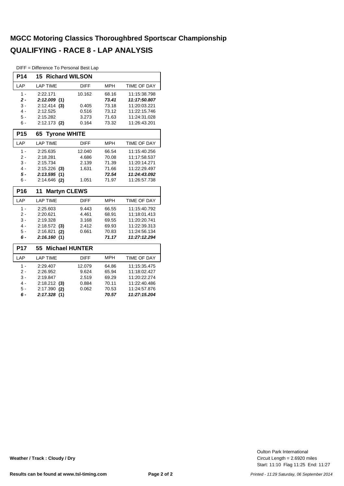#### **MGCC Motoring Classics Thoroughbred Sportscar Championship QUALIFYING - RACE 8 - LAP ANALYSIS**

DIFF = Difference To Personal Best Lap

| P14             | <b>15 Richard WILSON</b>    |             |            |                    |
|-----------------|-----------------------------|-------------|------------|--------------------|
| LAP             | <b>LAP TIME</b>             | <b>DIFF</b> | <b>MPH</b> | <b>TIME OF DAY</b> |
| $1 -$           | 2:22.171                    | 10.162      | 68.16      | 11:15:38.798       |
| $2 -$           | 2:12.009(1)                 |             | 73.41      | 11:17:50.807       |
| $3 -$           | 2:12.414<br>(3)             | 0.405       | 73.18      | 11:20:03.221       |
| $4 -$           | 2:12.525                    | 0.516       | 73.12      | 11:22:15.746       |
| $5 -$           | 2:15.282                    | 3.273       | 71.63      | 11:24:31.028       |
| $6 -$           | $2:12.173$ (2)              | 0.164       | 73.32      | 11:26:43.201       |
| P <sub>15</sub> | <b>Tyrone WHITE</b><br>65   |             |            |                    |
| LAP             | <b>LAP TIME</b>             | <b>DIFF</b> | <b>MPH</b> | <b>TIME OF DAY</b> |
| $1 -$           | 2:25.635                    | 12.040      | 66.54      | 11:15:40.256       |
| $2 -$           | 2:18.281                    | 4.686       | 70.08      | 11:17:58.537       |
| $3 -$           | 2:15.734                    | 2.139       | 71.39      | 11:20:14.271       |
| $4 -$           | $2:15.226$ (3)              | 1.631       | 71.66      | 11:22:29.497       |
| $5 -$           | 2:13.595(1)                 |             | 72.54      | 11:24:43.092       |
| $6 -$           | 2:14.646 (2)                | 1.051       | 71.97      | 11:26:57.738       |
| P16             | <b>Martyn CLEWS</b><br>11   |             |            |                    |
|                 |                             |             |            |                    |
| LAP             | <b>LAP TIME</b>             | <b>DIFF</b> | <b>MPH</b> | <b>TIME OF DAY</b> |
| $1 -$           | 2:25.603                    | 9.443       | 66.55      | 11:15:40.792       |
| $2 -$           | 2:20.621                    | 4.461       | 68.91      | 11:18:01.413       |
| $3 -$           | 2:19.328                    | 3.168       | 69.55      | 11:20:20.741       |
| $4 -$           | 2:18.572<br>(3)             | 2.412       | 69.93      | 11:22:39.313       |
| $5 -$           | 2:16.821<br>(2)             | 0.661       | 70.83      | 11:24:56.134       |
| $6 -$           | 2:16.160(1)                 |             | 71.17      | 11:27:12.294       |
| <b>P17</b>      | <b>Michael HUNTER</b><br>55 |             |            |                    |
| LAP             | <b>LAP TIME</b>             | <b>DIFF</b> | <b>MPH</b> | <b>TIME OF DAY</b> |
| $1 -$           | 2:29.407                    | 12.079      | 64.86      | 11:15:35.475       |
| $2 -$           | 2:26.952                    | 9.624       | 65.94      | 11:18:02.427       |
| $3 -$           | 2:19.847                    | 2.519       | 69.29      | 11:20:22.274       |
| $4 -$           | 2:18.212<br>(3)             | 0.884       | 70.11      | 11:22:40.486       |
| $5 -$           | 2:17.390<br>(2)             | 0.062       | 70.53      | 11:24:57.876       |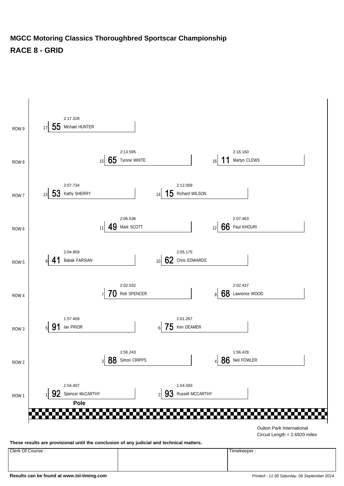#### **MGCC Motoring Classics Thoroughbred Sportscar Championship RACE 8 - GRID**



**These results are provisional until the conclusion of any judicial and technical matters.**

Clerk Of Course : Timekeeper :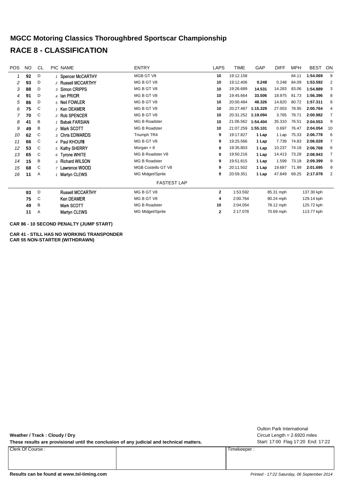#### **MGCC Motoring Classics Thoroughbred Sportscar Championship RACE 8 - CLASSIFICATION**

| <b>POS</b> | NO. | CL | PIC NAME                | <b>ENTRY</b>         | <b>LAPS</b>  | TIME               | GAP      | <b>DIFF</b> | <b>MPH</b> | <b>BEST</b> | ON             |
|------------|-----|----|-------------------------|----------------------|--------------|--------------------|----------|-------------|------------|-------------|----------------|
|            | 92  | D  | 1 Spencer McCARTHY      | MGB GT V8            | 10           | 19:12.158          |          |             | 84.11      | 1:54.069    | 9              |
| 2          | 93  | D  | 2 Russell MCCARTHY      | MG B GT V8           | 10           | 19:12.406          | 0.248    | 0.248       | 84.09      | 1:53.592    | 2              |
| 3          | 88  | D  | 3 Simon CRIPPS          | MG B GT V8           | 10           | 19:26.689          | 14.531   | 14.283      | 83.06      | 1:54.889    | 3              |
| 4          | 91  | D  | 4 Ian PRIOR             | MG B GT V8           | 10           | 19:45.664          | 33.506   | 18.975      | 81.73      | 1:56.396    | 8              |
| 5          | 86  | D  | 5 Neil FOWLER           | MG B GT V8           | 10           | 20:00.484          | 48.326   | 14.820      | 80.72      | 1:57.311    | 8              |
| 6          | 75  | C  | 1 Ken DEAMER            | MG B GT V8           | 10           | 20:27.487          | 1:15.329 | 27.003      | 78.95      | 2:00.764    | 4              |
|            | 70  | C  | 2 Rob SPENCER           | MG B GT V8           | 10           | 20:31.252          | 1:19.094 | 3.765       | 78.71      | 2:00.982    | $\overline{7}$ |
| 8          | 41  | B  | <b>Babak FARSIAN</b>    | <b>MG B Roadster</b> | 10           | 21:06.562 1:54.404 |          | 35.310      | 76.51      | 2:04.553    | 9              |
| 9          | 49  | B  | 2 Mark SCOTT            | MG B Roadster        | 10           | 21:07.259 1:55.101 |          | 0.697       | 76.47      | 2:04.054    | 10             |
| 10         | 62  | C  | 3 Chris EDWARDS         | Triumph TR4          | 9            | 19:17.827          | 1 Lap    | 1 Lap       | 75.33      | 2:06.778    | 6              |
| 11         | 66  | C  | 4 Paul KHOURI           | MG B GT V8           | 9            | 19:25.566          | 1 Lap    | 7.739       | 74.83      | 2:06.028    | 7              |
| 12         | 53  | C  | 5 Kathy SHERRY          | Morgan $+8$          | 9            | 19:35.803          | 1 Lap    | 10.237      | 74.18      | 2:06.768    | 6              |
| 13         | 65  | C  | $6$ Tyrone WHITE        | MG B Roadster V8     | 9            | 19:50.216          | 1 Lap    | 14.413      | 73.28      | 2:08.943    | 7              |
| 14         | 15  | B  | 3 Richard WILSON        | <b>MG B Roadster</b> | 9            | 19:51.815          | 1 Lap    | 1.599       | 73.18      | 2:09.399    | 9              |
| 15         | 68  | C  | 7 Lawrence WOOD         | MGB Costello GT V8   | 9            | 20:11.502          | 1 Lap    | 19.687      | 71.99      | 2:01.695    | 9              |
| 16         | 11  | Α  | 1 Martyn CLEWS          | MG Midget/Sprite     | 9            | 20:59.351          | 1 Lap    | 47.849      | 69.25      | 2:17.078    | 2              |
|            |     |    |                         | <b>FASTEST LAP</b>   |              |                    |          |             |            |             |                |
|            | 93  | D  | <b>Russell MCCARTHY</b> | MG B GT V8           | $\mathbf{2}$ | 1:53.592           |          | 85.31 mph   |            | 137.30 kph  |                |
|            | 75  | C  | Ken DEAMER              | MG B GT V8           | 4            | 2:00.764           |          | 80.24 mph   |            | 129.14 kph  |                |
|            | 49  | B  | Mark SCOTT              | <b>MG B Roadster</b> | 10           | 2:04.054           |          | 78.12 mph   |            | 125.72 kph  |                |
|            | 11  | Α  | Martyn CLEWS            | MG Midget/Sprite     | $\mathbf{2}$ | 2:17.078           |          | 70.69 mph   |            | 113.77 kph  |                |

**CAR 86 - 10 SECOND PENALTY (JUMP START)**

**CAR 41 - STILL HAS NO WORKING TRANSPONDER CAR 55 NON-STARTER (WITHDRAWN)**

**Weather / Track : Cloudy / Dry**

These results are provisional until the conclusion of any judicial and technical matters. Start: 17:00 Flag 17:20 End: 17:22

Clerk Of Course : Timekeeper :

Circuit Length = 2.6920 miles Oulton Park International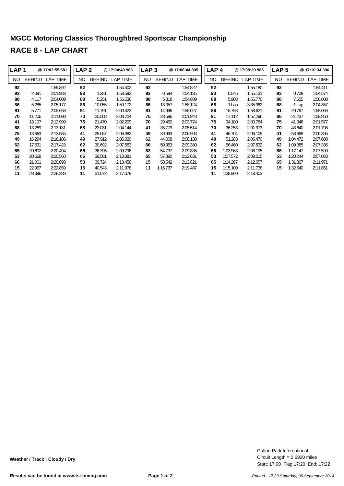### **MGCC Motoring Classics Thoroughbred Sportscar Championship RACE 8 - LAP CHART**

| LAP <sub>1</sub> |               | @17:02:55.581 | LAP <sub>2</sub> |               | @17:04:49.983 | LAP <sub>3</sub> |               | @17:06:44.805 | LAP <sub>4</sub> |               | @17:08:39.985 | LAP <sub>5</sub> |               | @17:10:34.396 |
|------------------|---------------|---------------|------------------|---------------|---------------|------------------|---------------|---------------|------------------|---------------|---------------|------------------|---------------|---------------|
| NO.              | <b>BEHIND</b> | LAP TIME      | NO.              | <b>BEHIND</b> | LAP TIME      | NO.              | <b>BEHIND</b> | LAP TIME      | NO.              | <b>BEHIND</b> | LAP TIME      | NO.              | <b>BEHIND</b> | LAP TIME      |
| 92               |               | 1:59.892      | 92               |               | 1:54.402      | 92               |               | 1:54.822      | 92               |               | 1:55.180      | 92               |               | 1:54.411      |
| 93               | 2.091         | 2:01.983      | 93               | 1.281         | 1:53.592      | 93               | 0.594         | 1:54.135      | 93               | 0.545         | 1:55.131      | 93               | 0.708         | 1:54.574      |
| 88               | 4.117         | 2:04.009      | 88               | 5.251         | 1:55.536      | 88               | 5.318         | 1:54.889      | 88               | 5.908         | 1:55.770      | 88               | 7.505         | 1:56.008      |
| 86               | 5.285         | 2:05.177      | 86               | 10.055        | 1:59.172      | 86               | 13.357        | 1:58.124      | 68               | 1 Lap         | 3:35.962      | 68               | 1 Lap         | 2:04.357      |
| 91               | 5.771         | 2:05.663      | 91               | 11.791        | 2:00.422      | 91               | 14.996        | 1:58.027      | 86               | 16.798        | 1:58.621      | 91               | 20.767        | 1:58.066      |
| 70               | 11.206        | 2:11.098      | 70               | 20.508        | 2:03.704      | 75               | 28.596        | 2:01.948      | 91               | 17.112        | 1:57.296      | 86               | 21.237        | 1:58.850      |
| 41               | 13.107        | 2:12.999      | 75               | 21.470        | 2:02.209      | 70               | 29.460        | 2:03.774      | 75               | 34.180        | 2:00.764      | 75               | 41.346        | 2:01.577      |
| 68               | 13.289        | 2:13.181      | 68               | 23.031        | 2:04.144      | 41               | 35.779        | 2:05.514      | 70               | 36.253        | 2:01.973      | 70               | 43.640        | 2:01.798      |
| 75               | 13.663        | 2:13.555      | 41               | 25.087        | 2:06.382      | 49               | 39.993        | 2:06.903      | 41               | 46.704        | 2:06.105      | 41               | 58.688        | 2:06.395      |
| 49               | 16.294        | 2:16.186      | 49               | 27.912        | 2:06.020      | 62               | 44.008        | 2:08.138      | 49               | 51.283        | 2:06.470      | 49               | 1:04.472      | 2:07.600      |
| 62               | 17.531        | 2:17.423      | 62               | 30.692        | 2:07.563      | 66               | 50.953        | 2:09.380      | 62               | 56.460        | 2:07.632      | 62               | 1:09.385      | 2:07.336      |
| 65               | 20.602        | 2:20.494      | 66               | 36.395        | 2:09.796      | 53               | 54.737        | 2:09.835      | 66               | 1:03.968      | 2:08.195      | 66               | 1:17.147      | 2:07.590      |
| 53               | 20.668        | 2:20.560      | 65               | 39.581        | 2:13.381      | 65               | 57.390        | 2:12.631      | 53               | 1:07.572      | 2:08.015      | 53               | 1:20.244      | 2:07.083      |
| 66               | 21.001        | 2:20.893      | 53               | 39.724        | 2:13.458      | 15               | 58.542        | 2:12.821      | 65               | 1:14.267      | 2:12.057      | 65               | 1:31.827      | 2:11.971      |
| 15               | 22.967        | 2:22.859      | 15               | 40.543        | 2:11.978      | 11               | 1:15.737      | 2:19.487      | 15               | 1:15.100      | 2:11.738      | 15               | 1:32.540      | 2:11.851      |
| 11               | 28.396        | 2:28.288      | 11               | 51.072        | 2:17.078      |                  |               |               | 11               | 1:38.960      | 2:18.403      |                  |               |               |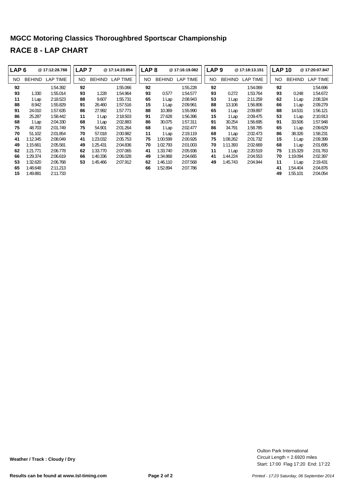### **MGCC Motoring Classics Thoroughbred Sportscar Championship RACE 8 - LAP CHART**

| LAP <sub>6</sub> |               | @17:12:28.788 | LAP <sub>7</sub> |               | @17:14:23.854   | LAP <sub>8</sub> |               | @17:16:19.082 | LAP <sub>9</sub> |               | @17:18:13.151 |     | <b>LAP 10</b> | @17:20:07.847   |
|------------------|---------------|---------------|------------------|---------------|-----------------|------------------|---------------|---------------|------------------|---------------|---------------|-----|---------------|-----------------|
| NO.              | <b>BEHIND</b> | LAP TIME      | NO               | <b>BEHIND</b> | <b>LAP TIME</b> | NO               | <b>BEHIND</b> | LAP TIME      | NO               | <b>BEHIND</b> | LAP TIME      | NO. | <b>BEHIND</b> | <b>LAP TIME</b> |
| 92               |               | 1:54.392      | 92               |               | 1:55.066        | 92               |               | 1:55.228      | 92               |               | 1:54.069      | 92  |               | 1:54.696        |
| 93               | 1.330         | 1:55.014      | 93               | 1.228         | 1:54.964        | 93               | 0.577         | 1:54.577      | 93               | 0.272         | 1:53.764      | 93  | 0.248         | 1:54.672        |
| 11               | 1 Lap         | 2:18.523      | 88               | 9.607         | 1:55.731        | 65               | 1 Lap         | 2:08.943      | 53               | 1 Lap         | 2:11.259      | 62  | 1 Lap         | 2:08.324        |
| 88               | 8.942         | 1:55.829      | 91               | 26.460        | 1:57.516        | 15               | i Lap         | 2:09.961      | 88               | 13.106        | 1:56.806      | 66  | 1 Lap         | 2:09.279        |
| 91               | 24.010        | 1:57.635      | 86               | 27.992        | 1:57.771        | 88               | 10.369        | 1:55.990      | 65               | 1 Lap         | 2:09.897      | 88  | 14.531        | 1:56.121        |
| 86               | 25.287        | 1:58.442      | 11               | 1 Lap         | 2:18.503        | 91               | 27.628        | 1:56.396      | 15               | 1 Lap         | 2:09.475      | 53  | 1 Lap         | 2:10.913        |
| 68               | 1 Lap         | 2:04.330      | 68               | 1 Lap         | 2:02.883        | 86               | 30.075        | 1:57.311      | 91               | 30.254        | 1:56.695      | 91  | 33.506        | 1:57.948        |
| 75               | 48.703        | 2:01.749      | 75               | 54.901        | 2:01.264        | 68               | 1 Lap         | 2:02.477      | 86               | 34.791        | 1:58.785      | 65  | 1 Lap         | 2:09.629        |
| 70               | 51.102        | 2:01.854      | 70               | 57.018        | 2:00.982        | 11               | l Lap         | 2:19.119      | 68               | 1 Lap         | 2:02.473      | 86  | 38.326        | 1:58.231        |
| 41               | 1:12.345      | 2:08.049      | 41               | 1:23.032      | 2:05.753        | 75               | 1:00.599      | 2:00.926      | 75               | 1:08.262      | 2:01.732      | 15  | 1 Lap         | 2:09.399        |
| 49               | 1:15.661      | 2:05.581      | 49               | 1:25.431      | 2:04.836        | 70               | 1:02.793      | 2:01.003      | 70               | 1:11.393      | 2:02.669      | 68  | 1 Lap         | 2:01.695        |
| 62               | 1:21.771      | 2:06.778      | 62               | 1:33.770      | 2:07.065        | 41               | 1:33.740      | 2:05.936      | 11               | 1 Lap         | 2:20.519      | 75  | 1:15.329      | 2:01.763        |
| 66               | 1:29.374      | 2:06.619      | 66               | 1:40.336      | 2:06.028        | 49               | 1:34.868      | 2:04.665      | 41               | 1:44.224      | 2:04.553      | 70  | 1:19.094      | 2:02.397        |
| 53               | 1:32.620      | 2:06.768      | 53               | 1:45.466      | 2:07.912        | 62               | 1:46.110      | 2:07.568      | 49               | 1:45.743      | 2:04.944      | 11  | 1 Lap         | 2:19.431        |
| 65               | 1:48.648      | 2:11.213      |                  |               |                 | 66               | 1:52.894      | 2:07.786      |                  |               |               | 41  | 1:54.404      | 2:04.876        |
| 15               | 1:49.881      | 2:11.733      |                  |               |                 |                  |               |               |                  |               |               | 49  | 1:55.101      | 2:04.054        |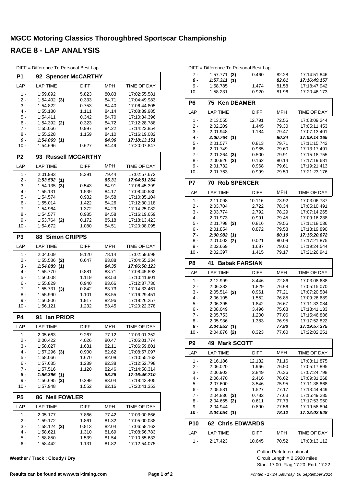#### **MGCC Motoring Classics Thoroughbred Sportscar Championship RACE 8 - LAP ANALYSIS**

|                | DIFF = Difference To Personal Best Lap |                         |            |              |
|----------------|----------------------------------------|-------------------------|------------|--------------|
| P <sub>1</sub> | 92                                     | <b>Spencer McCARTHY</b> |            |              |
| LAP            | <b>LAP TIME</b>                        | <b>DIFF</b>             | <b>MPH</b> | TIME OF DAY  |
| $1 -$          | 1:59.892                               | 5.823                   | 80.83      | 17:02:55.581 |
| 2 -            | 1:54.402<br>(3)                        | 0.333                   | 84.71      | 17:04:49.983 |
| 3 -            | 1:54.822                               | 0.753                   | 84.40      | 17:06:44.805 |
| $4 -$          | 1:55.180                               | 1.111                   | 84.14      | 17:08:39.985 |
| 5 -            | 1:54.411                               | 0.342                   | 84.70      | 17:10:34.396 |
| 6 -            | 1:54.392<br>(2)                        | 0.323                   | 84.72      | 17:12:28.788 |
| $7 -$          | 1:55.066                               | 0.997                   | 84.22      | 17:14:23.854 |
| 8 -            | 1:55.228                               | 1.159                   | 84.10      | 17:16:19.082 |
| 9 -            | 1:54.069(1)                            |                         | 84.96      | 17:18:13.151 |
| $10 -$         | 1:54.696                               | 0.627                   | 84.49      | 17:20:07.847 |
| P <sub>2</sub> | 93                                     | <b>Russell MCCARTHY</b> |            |              |
| LAP            | <b>LAP TIME</b>                        | <b>DIFF</b>             | <b>MPH</b> | TIME OF DAY  |
| $1 -$          | 2:01.983                               | 8.391                   | 79.44      | 17:02:57.672 |
| 2 -            | 1:53.592<br>(1)                        |                         | 85.31      | 17:04:51.264 |
| 3 -            | 1:54.135<br>(3)                        | 0.543                   | 84.91      | 17:06:45.399 |
| $4 -$          | 1:55.131                               | 1.539                   | 84.17      | 17:08:40.530 |
| 5 -            | 1:54.574                               | 0.982                   | 84.58      | 17:10:35.104 |
| $6 -$          | 1:55.014                               | 1.422                   | 84.26      | 17:12:30.118 |
| $7 -$          | 1:54.964                               | 1.372                   | 84.29      | 17:14:25.082 |
| 8 -            | 1:54.577                               | 0.985                   | 84.58      | 17:16:19.659 |
| 9 -            | 1:53.764 (2)                           | 0.172                   | 85.18      | 17:18:13.423 |
| $10 -$         | 1:54.672                               | 1.080                   | 84.51      | 17:20:08.095 |
| P <sub>3</sub> | <b>Simon CRIPPS</b><br>88              |                         |            |              |
| LAP            | <b>LAP TIME</b>                        | <b>DIFF</b>             | <b>MPH</b> | TIME OF DAY  |
| $1 -$          | 2:04.009                               | 9.120                   | 78.14      | 17:02:59.698 |
| 2 -            | 1:55.536<br>(2)                        | 0.647                   | 83.88      | 17:04:55.234 |
| 3 -            | 1:54.889(1)                            |                         | 84.35      | 17:06:50.123 |
| 4 -            | 1:55.770                               | 0.881                   | 83.71      | 17:08:45.893 |
| 5 -            | 1:56.008                               | 1.119                   | 83.53      | 17:10:41.901 |
| 6 -            | 1:55.829                               | 0.940                   | 83.66      | 17:12:37.730 |
| $7 -$          | 1:55.731<br>(3)                        | 0.842                   | 83.73      | 17:14:33.461 |
| 8 -            | 1:55.990                               | 1.101                   | 83.55      | 17:16:29.451 |
| 9 -            | 1:56.806                               | 1.917                   | 82.96      | 17:18:26.257 |
| $10 -$         | 1:56.121                               | 1.232                   | 83.45      | 17:20:22.378 |
| P4             | lan PRIOR<br>91                        |                         |            |              |
| LAP            | LAP TIME                               | <b>DIFF</b>             | MPH        | TIME OF DAY  |
| 1 -            | 2:05.663                               | 9.267                   | 77.12      | 17:03:01.352 |
| 2 -            | 2:00.422                               | 4.026                   | 80.47      | 17:05:01.774 |
| $3 -$          | 1:58.027                               | 1.631                   | 82.11      | 17:06:59.801 |
| 4 -            | $1:57.296$ (3)                         | 0.900                   | 82.62      | 17:08:57.097 |
| $5 -$          | 1:58.066                               | 1.670                   | 82.08      | 17:10:55.163 |
| 6 -            | 1:57.635                               | 1.239                   | 82.38      | 17:12:52.798 |
| 7 -            | 1:57.516                               | 1.120                   | 82.46      | 17:14:50.314 |
| 8 -            | 1:56.396(1)                            |                         | 83.26      | 17:16:46.710 |
| 9 -            | 1:56.695<br>(2)                        | 0.299                   | 83.04      | 17:18:43.405 |
| $10 -$         | 1:57.948                               | 1.552                   | 82.16      | 17:20:41.353 |
| P <sub>5</sub> | <b>Neil FOWLER</b><br>86               |                         |            |              |
| LAP            | LAP TIME                               | DIFF                    | MPH        | TIME OF DAY  |
| $1 -$          | 2:05.177                               | 7.866                   | 77.42      | 17:03:00.866 |
| 2 -            | 1:59.172                               | 1.861                   | 81.32      | 17:05:00.038 |
| 3 -            | $1:58.124$ (3)                         | 0.813                   | 82.04      | 17:06:58.162 |
| 4 -            | 1:58.621                               | 1.310                   | 81.69      | 17:08:56.783 |
| $5 -$          | 1:58.850                               | 1.539                   | 81.54      | 17:10:55.633 |
| $6 -$          | 1:58.442                               | 1.131                   | 81.82      | 17:12:54.075 |

**Weather / Track : Cloudy / Dry**

|        | DIFF = Difference To Personal Best Lap |       |       |              |
|--------|----------------------------------------|-------|-------|--------------|
| 7 -    | $1:57.771$ (2)                         | 0.460 | 82.28 | 17:14:51.846 |
| 8 -    | 1:57.311(1)                            |       | 82.61 | 17:16:49.157 |
| 9 -    | 1:58.785                               | 1.474 | 81.58 | 17:18:47.942 |
| $10 -$ | 1:58.231                               | 0.920 | 81.96 | 17:20:46.173 |

| P6            | 75<br><b>Ken DEAMER</b>       |             |                |                              |
|---------------|-------------------------------|-------------|----------------|------------------------------|
| LAP           | <b>LAP TIME</b>               | <b>DIFF</b> | <b>MPH</b>     | TIME OF DAY                  |
| $1 -$         | 2:13.555                      | 12.791      | 72.56          | 17:03:09.244                 |
| $2 -$         | 2:02.209                      | 1.445       | 79.30          | 17:05:11.453                 |
| $3 -$         | 2:01.948                      | 1.184       | 79.47          | 17:07:13.401                 |
| 4 -           | 2:00.764(1)                   |             | 80.24          | 17:09:14.165                 |
| 5 -           | 2:01.577                      | 0.813       | 79.71          | 17:11:15.742                 |
| $6 -$         | 2:01.749                      | 0.985       | 79.60          | 17:13:17.491                 |
| $7 -$         | $2:01.264$ (3)                | 0.500       | 79.91          | 17:15:18.755                 |
| 8 -           | 2:00.926<br>(2)               | 0.162       | 80.14          | 17:17:19.681                 |
| $9 -$         | 2:01.732                      | 0.968       | 79.61          | 17:19:21.413                 |
| $10 -$        | 2:01.763                      | 0.999       | 79.59          | 17:21:23.176                 |
| P7            | <b>Rob SPENCER</b><br>70      |             |                |                              |
| LAP           | <b>LAP TIME</b>               | <b>DIFF</b> | <b>MPH</b>     | TIME OF DAY                  |
| 1 -           | 2:11.098                      | 10.116      | 73.92          | 17:03:06.787                 |
| $2 -$         | 2:03.704                      | 2.722       | 78.34          | 17:05:10.491                 |
| $3 -$         | 2:03.774                      | 2.792       | 78.29          | 17:07:14.265                 |
| $4 -$         | 2:01.973                      | 0.991       | 79.45          | 17:09:16.238                 |
| $5 -$         | $2:01.798$ (3)                | 0.816       | 79.56          | 17:11:18.036                 |
| $6 -$<br>7 -  | 2:01.854<br>2:00.982(1)       | 0.872       | 79.53<br>80.10 | 17:13:19.890<br>17:15:20.872 |
| 8 -           |                               | 0.021       | 80.09          | 17:17:21.875                 |
| 9 -           | 2:01.003 (2)<br>2:02.669      | 1.687       | 79.00          | 17:19:24.544                 |
| $10 -$        | 2:02.397                      | 1.415       | 79.17          | 17:21:26.941                 |
|               |                               |             |                |                              |
| P8            | 41<br><b>Babak FARSIAN</b>    |             |                |                              |
| LAP           | <b>LAP TIME</b>               | <b>DIFF</b> | <b>MPH</b>     | TIME OF DAY                  |
| $1 -$         | 2:12.999                      | 8.446       | 72.86          | 17:03:08.688                 |
| 2 -           | 2:06.382                      | 1.829       | 76.68          | 17:05:15.070                 |
|               |                               | 0.961       | 77.21          |                              |
| $3 -$         | $2:05.514$ (3)                |             |                | 17:07:20.584                 |
| $4 -$         | 2:06.105                      | 1.552       | 76.85          | 17:09:26.689                 |
| 5 -           | 2:06.395                      | 1.842       | 76.67          | 17:11:33.084                 |
| $6 -$         | 2:08.049                      | 3.496       | 75.68          | 17:13:41.133                 |
| $7 -$         | 2:05.753                      | 1.200       | 77.06          | 17:15:46.886                 |
| 8 -           | 2:05.936                      | 1.383       | 76.95          | 17:17:52.822                 |
| 9 -<br>$10 -$ | 2:04.553(1)<br>$2:04.876$ (2) | 0.323       | 77.80<br>77.60 | 17:19:57.375<br>17:22:02.251 |
| P9            | 49 Mark SCOTT                 |             |                |                              |
| LAP           | <b>LAP TIME</b>               | DIFF        | <b>MPH</b>     | TIME OF DAY                  |
| 1 -           | 2:16.186                      | 12.132      | 71.16          | 17:03:11.875                 |
| $2-$          | 2:06.020                      | 1.966       | 76.90          | 17:05:17.895                 |
| 3 -           | 2:06.903                      | 2.849       | 76.36          | 17:07:24.798                 |
| $4 -$         | 2:06.470                      | 2.416       | 76.62          | 17:09:31.268                 |
| $5 -$         | 2:07.600                      | 3.546       | 75.95          | 17:11:38.868                 |
| 6 -           | 2:05.581                      | 1.527       | 77.17          | 17:13:44.449                 |
| 7 -           | $2:04.836$ (3)                | 0.782       | 77.63          | 17:15:49.285                 |
| 8 -           | 2:04.665<br>(2)               | 0.611       | 77.73          | 17:17:53.950                 |
| 9 -<br>10 -   | 2:04.944<br>2:04.054(1)       | 0.890       | 77.56<br>78.12 | 17:19:58.894<br>17:22:02.948 |
| <b>P10</b>    | <b>62 Chris EDWARDS</b>       |             |                |                              |
| LAP           | <b>LAP TIME</b>               | <b>DIFF</b> | MPH            | TIME OF DAY                  |
| 1 -           | 2:17.423                      | 10.645      | 70.52          | 17:03:13.112                 |

Start: 17:00 Flag 17:20 End: 17:22 Circuit Length = 2.6920 miles Oulton Park International